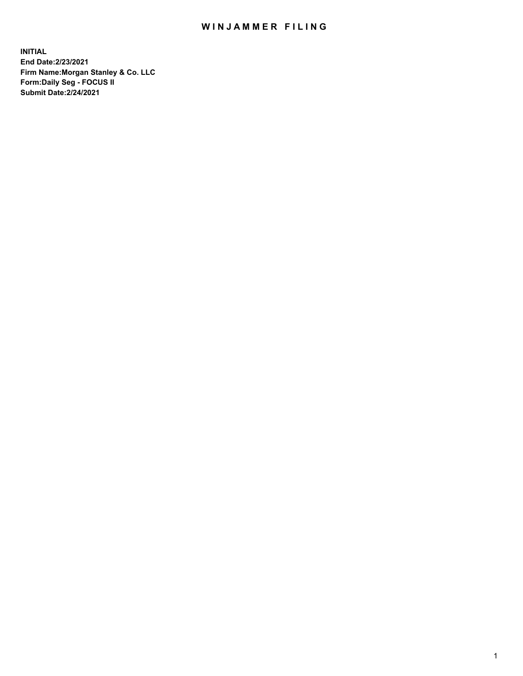## WIN JAMMER FILING

**INITIAL End Date:2/23/2021 Firm Name:Morgan Stanley & Co. LLC Form:Daily Seg - FOCUS II Submit Date:2/24/2021**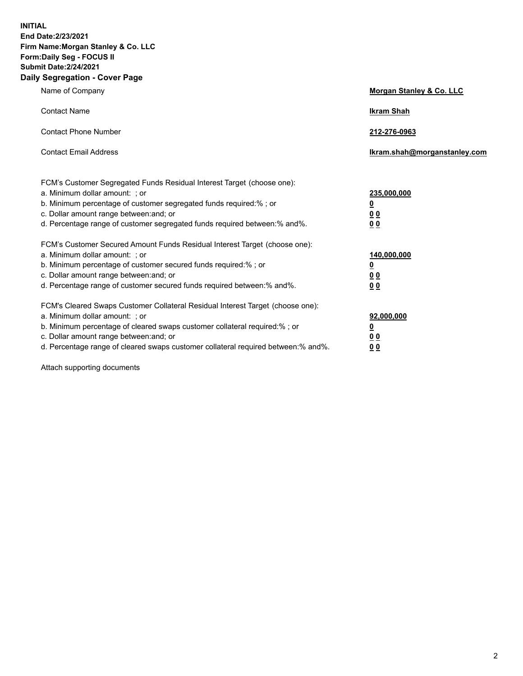**INITIAL End Date:2/23/2021 Firm Name:Morgan Stanley & Co. LLC Form:Daily Seg - FOCUS II Submit Date:2/24/2021 Daily Segregation - Cover Page**

| Name of Company                                                                                                                                                                                                                                                                                                                | <b>Morgan Stanley &amp; Co. LLC</b>                         |
|--------------------------------------------------------------------------------------------------------------------------------------------------------------------------------------------------------------------------------------------------------------------------------------------------------------------------------|-------------------------------------------------------------|
| <b>Contact Name</b>                                                                                                                                                                                                                                                                                                            | <b>Ikram Shah</b>                                           |
| <b>Contact Phone Number</b>                                                                                                                                                                                                                                                                                                    | 212-276-0963                                                |
| <b>Contact Email Address</b>                                                                                                                                                                                                                                                                                                   | Ikram.shah@morganstanley.com                                |
| FCM's Customer Segregated Funds Residual Interest Target (choose one):<br>a. Minimum dollar amount: ; or<br>b. Minimum percentage of customer segregated funds required:% ; or<br>c. Dollar amount range between: and; or<br>d. Percentage range of customer segregated funds required between:% and%.                         | 235,000,000<br><u>0</u><br>0 <sub>0</sub><br>0 <sub>0</sub> |
| FCM's Customer Secured Amount Funds Residual Interest Target (choose one):<br>a. Minimum dollar amount: ; or<br>b. Minimum percentage of customer secured funds required:%; or<br>c. Dollar amount range between: and; or<br>d. Percentage range of customer secured funds required between:% and%.                            | 140,000,000<br><u>0</u><br>0 <sub>0</sub><br>0 <sub>0</sub> |
| FCM's Cleared Swaps Customer Collateral Residual Interest Target (choose one):<br>a. Minimum dollar amount: ; or<br>b. Minimum percentage of cleared swaps customer collateral required:% ; or<br>c. Dollar amount range between: and; or<br>d. Percentage range of cleared swaps customer collateral required between:% and%. | 92,000,000<br><u>0</u><br><u>00</u><br>00                   |

Attach supporting documents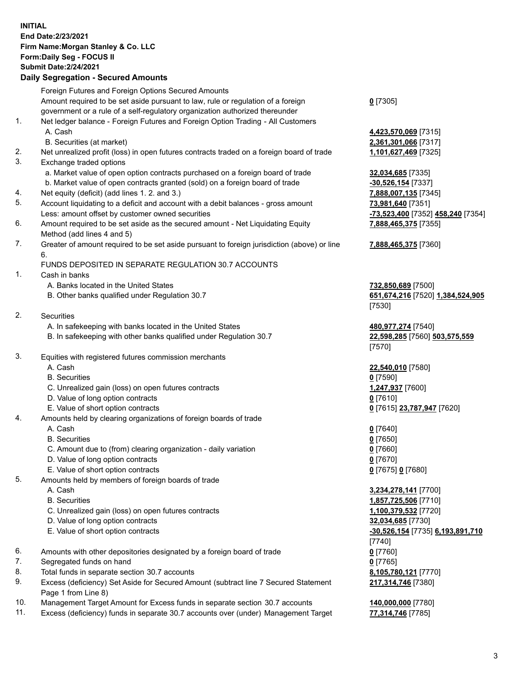## **INITIAL End Date:2/23/2021 Firm Name:Morgan Stanley & Co. LLC Form:Daily Seg - FOCUS II Submit Date:2/24/2021**

## **Daily Segregation - Secured Amounts**

Foreign Futures and Foreign Options Secured Amounts Amount required to be set aside pursuant to law, rule or regulation of a foreign government or a rule of a self-regulatory organization authorized thereunder **0** [7305] 1. Net ledger balance - Foreign Futures and Foreign Option Trading - All Customers A. Cash **4,423,570,069** [7315] B. Securities (at market) **2,361,301,066** [7317] 2. Net unrealized profit (loss) in open futures contracts traded on a foreign board of trade **1,101,627,469** [7325] 3. Exchange traded options a. Market value of open option contracts purchased on a foreign board of trade **32,034,685** [7335] b. Market value of open contracts granted (sold) on a foreign board of trade **-30,526,154** [7337] 4. Net equity (deficit) (add lines 1. 2. and 3.) **7,888,007,135** [7345] 5. Account liquidating to a deficit and account with a debit balances - gross amount **73,981,640** [7351] Less: amount offset by customer owned securities **-73,523,400** [7352] **458,240** [7354] 6. Amount required to be set aside as the secured amount - Net Liquidating Equity Method (add lines 4 and 5) **7,888,465,375** [7355] 7. Greater of amount required to be set aside pursuant to foreign jurisdiction (above) or line 6. **7,888,465,375** [7360] FUNDS DEPOSITED IN SEPARATE REGULATION 30.7 ACCOUNTS 1. Cash in banks A. Banks located in the United States **732,850,689** [7500] B. Other banks qualified under Regulation 30.7 **651,674,216** [7520] **1,384,524,905** [7530] 2. Securities A. In safekeeping with banks located in the United States **480,977,274** [7540] B. In safekeeping with other banks qualified under Regulation 30.7 **22,598,285** [7560] **503,575,559** [7570] 3. Equities with registered futures commission merchants A. Cash **22,540,010** [7580] B. Securities **0** [7590] C. Unrealized gain (loss) on open futures contracts **1,247,937** [7600] D. Value of long option contracts **0** [7610] E. Value of short option contracts **0** [7615] **23,787,947** [7620] 4. Amounts held by clearing organizations of foreign boards of trade A. Cash **0** [7640] B. Securities **0** [7650] C. Amount due to (from) clearing organization - daily variation **0** [7660] D. Value of long option contracts **0** [7670] E. Value of short option contracts **0** [7675] **0** [7680] 5. Amounts held by members of foreign boards of trade A. Cash **3,234,278,141** [7700] B. Securities **1,857,725,506** [7710] C. Unrealized gain (loss) on open futures contracts **1,100,379,532** [7720] D. Value of long option contracts **32,034,685** [7730] E. Value of short option contracts **-30,526,154** [7735] **6,193,891,710** [7740] 6. Amounts with other depositories designated by a foreign board of trade **0** [7760] 7. Segregated funds on hand **0** [7765] 8. Total funds in separate section 30.7 accounts **8,105,780,121** [7770] 9. Excess (deficiency) Set Aside for Secured Amount (subtract line 7 Secured Statement Page 1 from Line 8) **217,314,746** [7380]

- 10. Management Target Amount for Excess funds in separate section 30.7 accounts **140,000,000** [7780]
- 11. Excess (deficiency) funds in separate 30.7 accounts over (under) Management Target **77,314,746** [7785]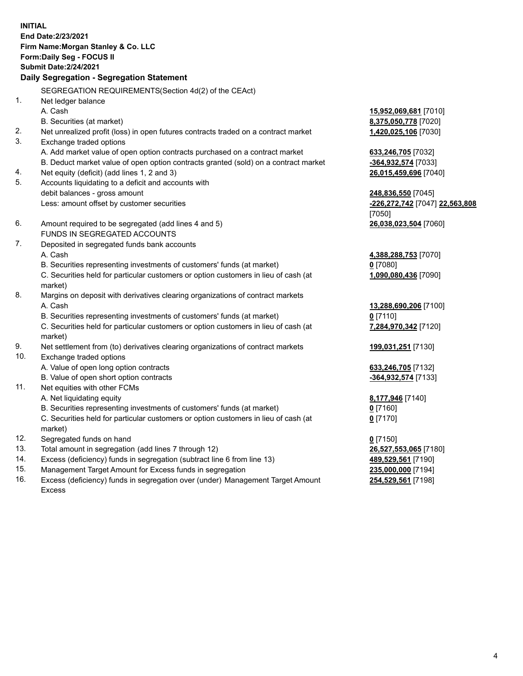**INITIAL End Date:2/23/2021 Firm Name:Morgan Stanley & Co. LLC Form:Daily Seg - FOCUS II Submit Date:2/24/2021 Daily Segregation - Segregation Statement** SEGREGATION REQUIREMENTS(Section 4d(2) of the CEAct) 1. Net ledger balance A. Cash **15,952,069,681** [7010] B. Securities (at market) **8,375,050,778** [7020] 2. Net unrealized profit (loss) in open futures contracts traded on a contract market **1,420,025,106** [7030] 3. Exchange traded options A. Add market value of open option contracts purchased on a contract market **633,246,705** [7032] B. Deduct market value of open option contracts granted (sold) on a contract market **-364,932,574** [7033] 4. Net equity (deficit) (add lines 1, 2 and 3) **26,015,459,696** [7040] 5. Accounts liquidating to a deficit and accounts with debit balances - gross amount **248,836,550** [7045] Less: amount offset by customer securities **-226,272,742** [7047] **22,563,808** [7050] 6. Amount required to be segregated (add lines 4 and 5) **26,038,023,504** [7060] FUNDS IN SEGREGATED ACCOUNTS 7. Deposited in segregated funds bank accounts A. Cash **4,388,288,753** [7070] B. Securities representing investments of customers' funds (at market) **0** [7080] C. Securities held for particular customers or option customers in lieu of cash (at market) **1,090,080,436** [7090] 8. Margins on deposit with derivatives clearing organizations of contract markets A. Cash **13,288,690,206** [7100] B. Securities representing investments of customers' funds (at market) **0** [7110] C. Securities held for particular customers or option customers in lieu of cash (at market) **7,284,970,342** [7120] 9. Net settlement from (to) derivatives clearing organizations of contract markets **199,031,251** [7130] 10. Exchange traded options A. Value of open long option contracts **633,246,705** [7132] B. Value of open short option contracts **-364,932,574** [7133] 11. Net equities with other FCMs A. Net liquidating equity **8,177,946** [7140] B. Securities representing investments of customers' funds (at market) **0** [7160] C. Securities held for particular customers or option customers in lieu of cash (at market) **0** [7170] 12. Segregated funds on hand **0** [7150] 13. Total amount in segregation (add lines 7 through 12) **26,527,553,065** [7180] 14. Excess (deficiency) funds in segregation (subtract line 6 from line 13) **489,529,561** [7190]

- 15. Management Target Amount for Excess funds in segregation **235,000,000** [7194]
- 16. Excess (deficiency) funds in segregation over (under) Management Target Amount Excess

**254,529,561** [7198]